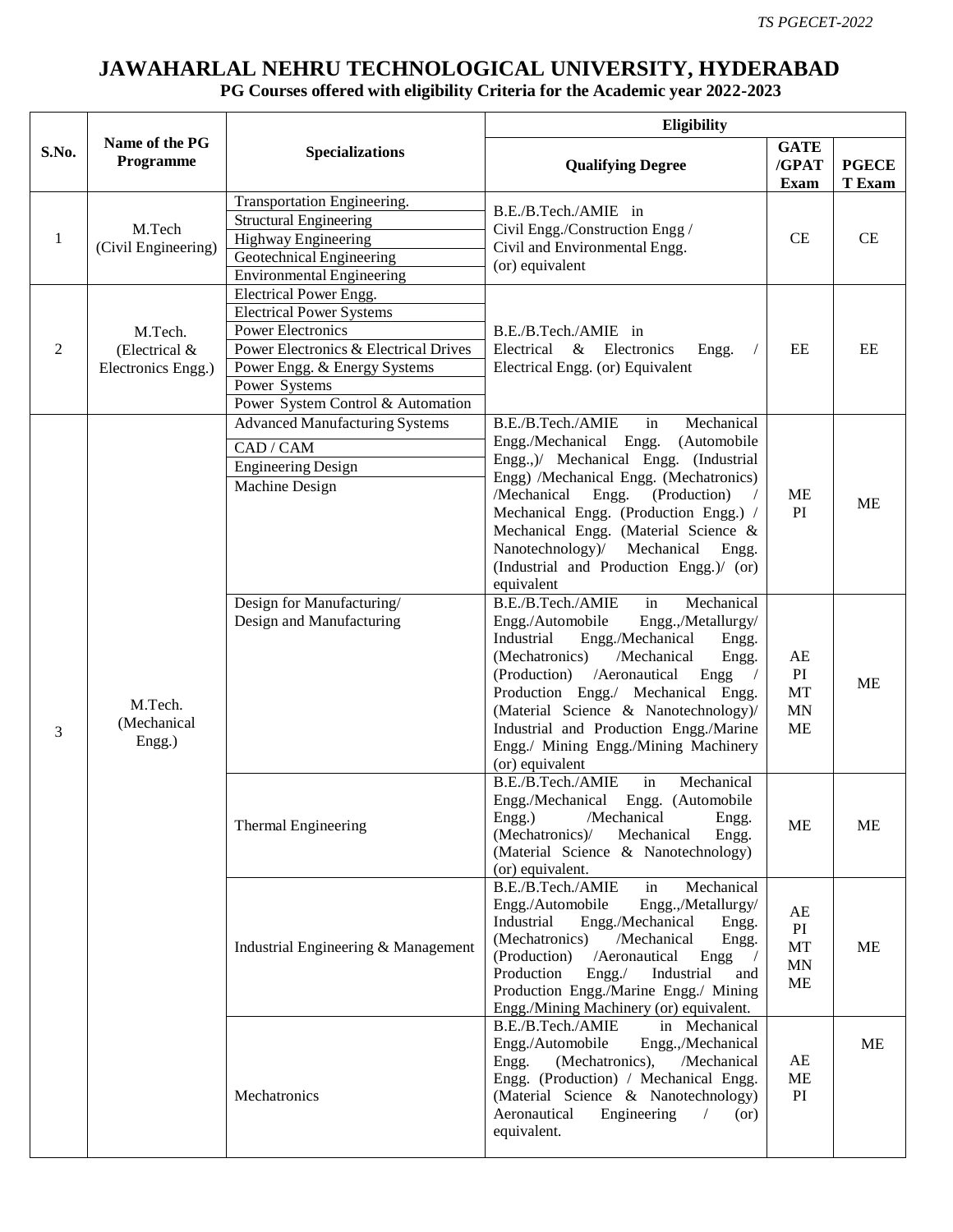## **JAWAHARLAL NEHRU TECHNOLOGICAL UNIVERSITY, HYDERABAD**

## **PG Courses offered with eligibility Criteria for the Academic year 2022-2023**

|       | Name of the PG<br>Programme                    | <b>Specializations</b>                                                                                                                                                                                               | Eligibility                                                                                                                                                                                                                                                                                                                                                                                    |                                          |                        |
|-------|------------------------------------------------|----------------------------------------------------------------------------------------------------------------------------------------------------------------------------------------------------------------------|------------------------------------------------------------------------------------------------------------------------------------------------------------------------------------------------------------------------------------------------------------------------------------------------------------------------------------------------------------------------------------------------|------------------------------------------|------------------------|
| S.No. |                                                |                                                                                                                                                                                                                      | <b>Qualifying Degree</b>                                                                                                                                                                                                                                                                                                                                                                       | <b>GATE</b><br>/GPAT<br><b>Exam</b>      | <b>PGECE</b><br>T Exam |
| 1     | M.Tech<br>(Civil Engineering)                  | Transportation Engineering.<br><b>Structural Engineering</b><br>Highway Engineering<br>Geotechnical Engineering<br><b>Environmental Engineering</b>                                                                  | B.E./B.Tech./AMIE in<br>Civil Engg./Construction Engg /<br>Civil and Environmental Engg.<br>(or) equivalent                                                                                                                                                                                                                                                                                    | CE                                       | CE                     |
| 2     | M.Tech.<br>(Electrical &<br>Electronics Engg.) | Electrical Power Engg.<br><b>Electrical Power Systems</b><br><b>Power Electronics</b><br>Power Electronics & Electrical Drives<br>Power Engg. & Energy Systems<br>Power Systems<br>Power System Control & Automation | B.E./B.Tech./AMIE in<br>Electrical & Electronics<br>Engg.<br>Electrical Engg. (or) Equivalent                                                                                                                                                                                                                                                                                                  | EE                                       | EE                     |
| 3     | M.Tech.<br>(Mechanical<br>Engg.)               | <b>Advanced Manufacturing Systems</b><br>CAD / CAM<br><b>Engineering Design</b><br>Machine Design                                                                                                                    | B.E./B.Tech./AMIE<br>Mechanical<br>in<br>Engg./Mechanical Engg.<br>(Automobile<br>Engg.,)/ Mechanical Engg. (Industrial<br>Engg) /Mechanical Engg. (Mechatronics)<br>/Mechanical<br>Engg.<br>(Production)<br>Mechanical Engg. (Production Engg.) /<br>Mechanical Engg. (Material Science &<br>Nanotechnology)/<br>Mechanical<br>Engg.<br>(Industrial and Production Engg.)/ (or)<br>equivalent | ME<br>PI                                 | <b>ME</b>              |
|       |                                                | Design for Manufacturing/<br>Design and Manufacturing                                                                                                                                                                | B.E./B.Tech./AMIE<br>in<br>Mechanical<br>Engg.,/Metallurgy/<br>Engg./Automobile<br>Industrial<br>Engg./Mechanical<br>Engg.<br>(Mechatronics)<br>/Mechanical<br>Engg.<br>(Production) / Aeronautical<br>Engg<br>Production Engg./ Mechanical Engg.<br>(Material Science & Nanotechnology)/<br>Industrial and Production Engg./Marine<br>Engg./ Mining Engg./Mining Machinery<br>(or) equivalent | AE<br>PI<br>MT<br><b>MN</b><br><b>ME</b> | <b>ME</b>              |
|       |                                                | Thermal Engineering                                                                                                                                                                                                  | B.E./B.Tech./AMIE<br>in<br>Mechanical<br>Engg./Mechanical Engg. (Automobile<br>/Mechanical<br>Engg.)<br>Engg.<br>(Mechatronics)/<br>Mechanical<br>Engg.<br>(Material Science & Nanotechnology)<br>(or) equivalent.                                                                                                                                                                             | <b>ME</b>                                | <b>ME</b>              |
|       |                                                | Industrial Engineering & Management                                                                                                                                                                                  | B.E./B.Tech./AMIE<br>Mechanical<br>in<br>Engg./Automobile<br>Engg.,/Metallurgy/<br>Industrial<br>Engg./Mechanical<br>Engg.<br>(Mechatronics)<br>/Mechanical<br>Engg.<br>(Production)<br>/Aeronautical<br>Engg<br>Production<br>Engg. /<br>Industrial<br>and<br>Production Engg./Marine Engg./ Mining<br>Engg./Mining Machinery (or) equivalent.                                                | AE<br>PI<br>MT<br><b>MN</b><br><b>ME</b> | ME                     |
|       |                                                | Mechatronics                                                                                                                                                                                                         | B.E./B.Tech./AMIE<br>in Mechanical<br>Engg./Automobile<br>Engg.,/Mechanical<br>Engg.<br>(Mechatronics),<br>/Mechanical<br>Engg. (Production) / Mechanical Engg.<br>(Material Science & Nanotechnology)<br>Aeronautical<br>Engineering<br>$\sqrt{2}$<br>(or)<br>equivalent.                                                                                                                     | AE<br>ME<br>PI                           | <b>ME</b>              |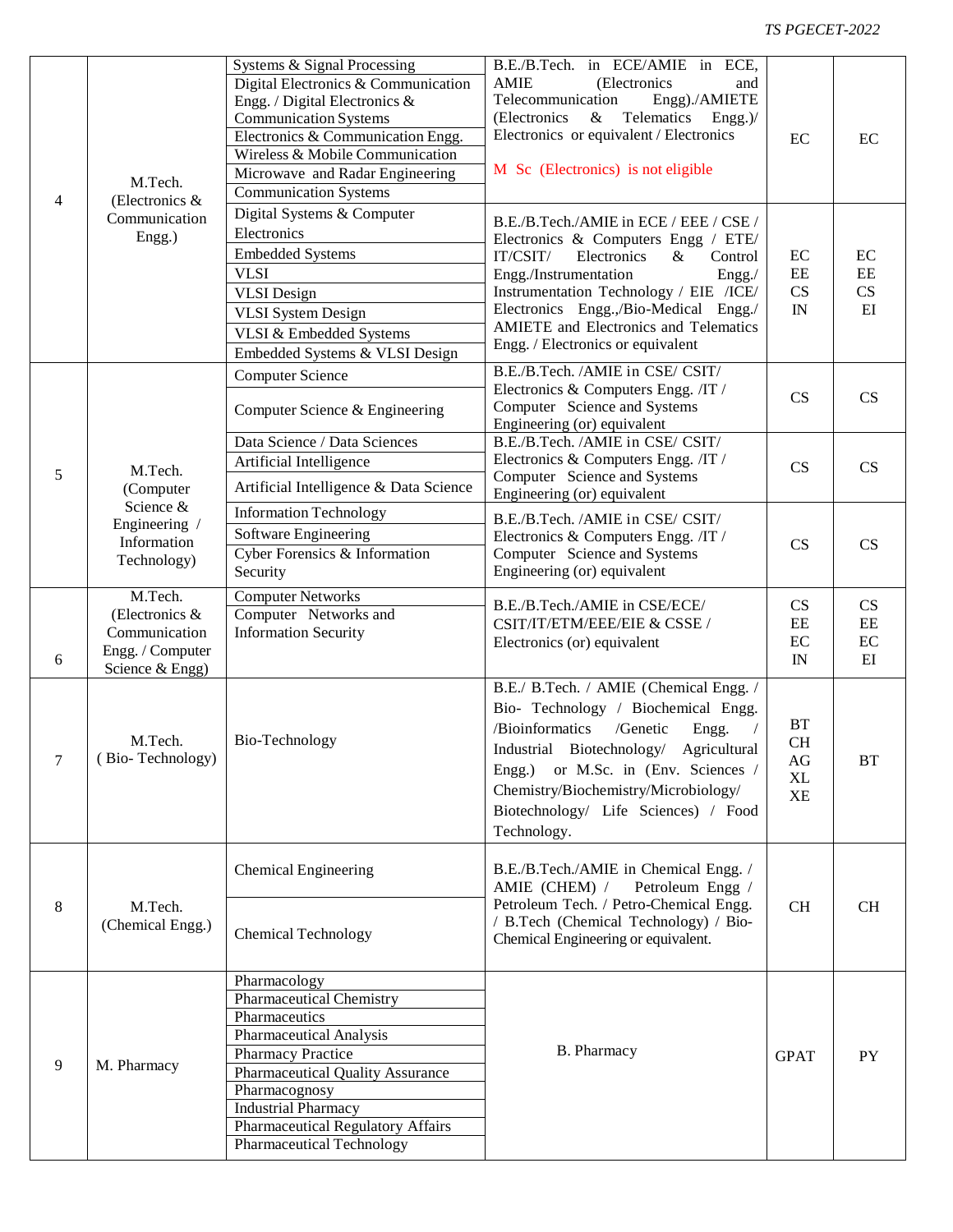## *TS PGECET-2022*

| $\overline{4}$<br>5 | M.Tech.<br>(Electronics &<br>Communication<br>Engg.)<br>M.Tech.<br>(Computer<br>Science &<br>Engineering /<br>Information<br>Technology) | Systems & Signal Processing<br>Digital Electronics & Communication<br>Engg. / Digital Electronics &<br><b>Communication Systems</b><br>Electronics & Communication Engg.<br>Wireless & Mobile Communication<br>Microwave and Radar Engineering<br><b>Communication Systems</b>             | B.E./B.Tech. in ECE/AMIE in ECE,<br><b>AMIE</b><br>(Electronics<br>and<br>Telecommunication<br>Engg)./AMIETE<br>(Electronics<br>Telematics<br>$\&$<br>$Engg$ .)/<br>Electronics or equivalent / Electronics<br>M Sc (Electronics) is not eligible                                                                               | EC                                       | EC                                              |
|---------------------|------------------------------------------------------------------------------------------------------------------------------------------|--------------------------------------------------------------------------------------------------------------------------------------------------------------------------------------------------------------------------------------------------------------------------------------------|---------------------------------------------------------------------------------------------------------------------------------------------------------------------------------------------------------------------------------------------------------------------------------------------------------------------------------|------------------------------------------|-------------------------------------------------|
|                     |                                                                                                                                          | Digital Systems & Computer<br>Electronics<br><b>Embedded Systems</b><br><b>VLSI</b><br><b>VLSI</b> Design<br><b>VLSI</b> System Design<br>VLSI & Embedded Systems<br>Embedded Systems & VLSI Design                                                                                        | B.E./B.Tech./AMIE in ECE / EEE / CSE /<br>Electronics & Computers Engg / ETE/<br>Electronics<br>IT/CSIT/<br>$\&$<br>Control<br>Engg./Instrumentation<br>Engg./<br>Instrumentation Technology / EIE /ICE/<br>Electronics Engg.,/Bio-Medical Engg./<br>AMIETE and Electronics and Telematics<br>Engg. / Electronics or equivalent | EC<br>$\rm EE$<br>CS<br>IN               | EC<br>$\rm{EE}$<br>$\mathbf{C}\mathbf{S}$<br>EI |
|                     |                                                                                                                                          | <b>Computer Science</b><br>Computer Science & Engineering                                                                                                                                                                                                                                  | B.E./B.Tech. /AMIE in CSE/ CSIT/<br>Electronics & Computers Engg. /IT /<br>Computer Science and Systems<br>Engineering (or) equivalent                                                                                                                                                                                          | CS                                       | CS                                              |
|                     |                                                                                                                                          | Data Science / Data Sciences<br>Artificial Intelligence<br>Artificial Intelligence & Data Science                                                                                                                                                                                          | B.E./B.Tech. /AMIE in CSE/ CSIT/<br>Electronics & Computers Engg. /IT /<br>Computer Science and Systems<br>Engineering (or) equivalent                                                                                                                                                                                          | CS                                       | CS                                              |
|                     |                                                                                                                                          | <b>Information Technology</b><br>Software Engineering<br>Cyber Forensics & Information<br>Security                                                                                                                                                                                         | B.E./B.Tech. /AMIE in CSE/ CSIT/<br>Electronics & Computers Engg. /IT /<br>Computer Science and Systems<br>Engineering (or) equivalent                                                                                                                                                                                          | CS                                       | CS                                              |
| 6                   | M.Tech.<br>(Electronics &<br>Communication<br>Engg. / Computer<br>Science $&$ Engg)                                                      | <b>Computer Networks</b><br>Computer Networks and<br><b>Information Security</b>                                                                                                                                                                                                           | B.E./B.Tech./AMIE in CSE/ECE/<br>CSIT/IT/ETM/EEE/EIE & CSSE /<br>Electronics (or) equivalent                                                                                                                                                                                                                                    | CS<br>$\rm EE$<br>EC<br>IN               | CS<br>EE<br>$\rm EC$<br>EI                      |
| 7                   | M.Tech.<br>(Bio-Technology)                                                                                                              | Bio-Technology                                                                                                                                                                                                                                                                             | B.E./ B.Tech. / AMIE (Chemical Engg. /<br>Bio- Technology / Biochemical Engg.<br>/Bioinformatics<br>/Genetic<br>Engg.<br>$\sqrt{2}$<br>Industrial Biotechnology/<br>Agricultural<br>or M.Sc. in (Env. Sciences /<br>Engg.)<br>Chemistry/Biochemistry/Microbiology/<br>Biotechnology/ Life Sciences) / Food<br>Technology.       | <b>BT</b><br>CH<br>AG<br>XL<br><b>XE</b> | <b>BT</b>                                       |
| 8                   | M.Tech.<br>(Chemical Engg.)                                                                                                              | <b>Chemical Engineering</b><br><b>Chemical Technology</b>                                                                                                                                                                                                                                  | B.E./B.Tech./AMIE in Chemical Engg. /<br>AMIE (CHEM) /<br>Petroleum Engg /<br>Petroleum Tech. / Petro-Chemical Engg.<br>/ B.Tech (Chemical Technology) / Bio-<br>Chemical Engineering or equivalent.                                                                                                                            | <b>CH</b>                                | <b>CH</b>                                       |
| 9                   | M. Pharmacy                                                                                                                              | Pharmacology<br><b>Pharmaceutical Chemistry</b><br>Pharmaceutics<br><b>Pharmaceutical Analysis</b><br>Pharmacy Practice<br>Pharmaceutical Quality Assurance<br>Pharmacognosy<br><b>Industrial Pharmacy</b><br><b>Pharmaceutical Regulatory Affairs</b><br><b>Pharmaceutical Technology</b> | B. Pharmacy                                                                                                                                                                                                                                                                                                                     | <b>GPAT</b>                              | <b>PY</b>                                       |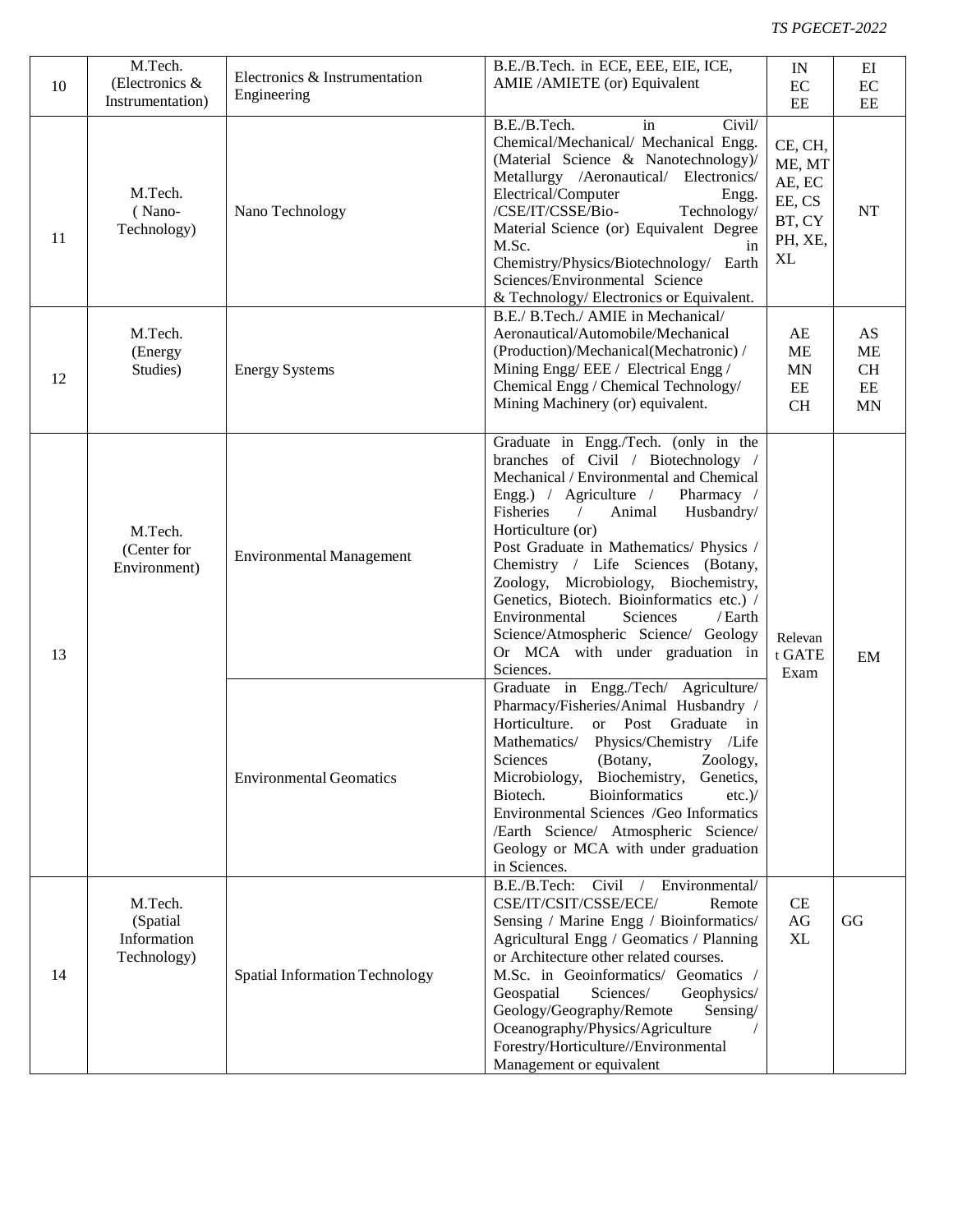| 10 | M.Tech.<br>(Electronics &<br>Instrumentation)     | Electronics & Instrumentation<br>Engineering | B.E./B.Tech. in ECE, EEE, EIE, ICE,<br>AMIE / AMIETE (or) Equivalent                                                                                                                                                                                                                                                                                                                                                                                                                                                                        | IN<br>$\rm EC$<br>EE                                             | EI<br>$\rm EC$<br>EE                     |
|----|---------------------------------------------------|----------------------------------------------|---------------------------------------------------------------------------------------------------------------------------------------------------------------------------------------------------------------------------------------------------------------------------------------------------------------------------------------------------------------------------------------------------------------------------------------------------------------------------------------------------------------------------------------------|------------------------------------------------------------------|------------------------------------------|
| 11 | M.Tech.<br>(Nano-<br>Technology)                  | Nano Technology                              | B.E./B.Tech.<br>Civil/<br>in<br>Chemical/Mechanical/ Mechanical Engg.<br>(Material Science & Nanotechnology)/<br>Metallurgy /Aeronautical/ Electronics/<br>Electrical/Computer<br>Engg.<br>/CSE/IT/CSSE/Bio-<br>Technology/<br>Material Science (or) Equivalent Degree<br>M.Sc.<br>in<br>Chemistry/Physics/Biotechnology/ Earth<br>Sciences/Environmental Science<br>& Technology/ Electronics or Equivalent.                                                                                                                               | CE, CH,<br>ME, MT<br>AE, EC<br>EE, CS<br>BT, CY<br>PH, XE,<br>XL | NT                                       |
| 12 | M.Tech.<br>(Energy<br>Studies)                    | <b>Energy Systems</b>                        | B.E./ B.Tech./ AMIE in Mechanical/<br>Aeronautical/Automobile/Mechanical<br>(Production)/Mechanical(Mechatronic) /<br>Mining Engg/EEE / Electrical Engg /<br>Chemical Engg / Chemical Technology/<br>Mining Machinery (or) equivalent.                                                                                                                                                                                                                                                                                                      | AE<br>ME<br><b>MN</b><br>$\rm{EE}$<br><b>CH</b>                  | AS<br>ME<br>CH<br>$\rm{EE}$<br><b>MN</b> |
| 13 | M.Tech.<br>(Center for<br>Environment)            | <b>Environmental Management</b>              | Graduate in Engg./Tech. (only in the<br>branches of Civil / Biotechnology /<br>Mechanical / Environmental and Chemical<br>Engg.) / Agriculture /<br>Pharmacy /<br>Fisheries<br>Animal<br>$\sqrt{2}$<br>Husbandry/<br>Horticulture (or)<br>Post Graduate in Mathematics/ Physics /<br>Chemistry / Life Sciences (Botany,<br>Zoology, Microbiology, Biochemistry,<br>Genetics, Biotech. Bioinformatics etc.) /<br>Environmental<br>Sciences<br>/Earth<br>Science/Atmospheric Science/ Geology<br>Or MCA with under graduation in<br>Sciences. | Relevan<br>t GATE<br>Exam                                        | EM                                       |
|    |                                                   | <b>Environmental Geomatics</b>               | Graduate in Engg./Tech/ Agriculture/<br>Pharmacy/Fisheries/Animal Husbandry /<br>Horticulture.<br>or Post Graduate in<br>Mathematics/ Physics/Chemistry /Life<br>Sciences<br>(Botany,<br>Zoology,<br>Microbiology,<br>Biochemistry,<br>Genetics,<br>Biotech.<br><b>Bioinformatics</b><br>$etc.$ )/<br>Environmental Sciences /Geo Informatics<br>/Earth Science/ Atmospheric Science/<br>Geology or MCA with under graduation<br>in Sciences.                                                                                               |                                                                  |                                          |
| 14 | M.Tech.<br>(Spatial<br>Information<br>Technology) | <b>Spatial Information Technology</b>        | B.E./B.Tech: Civil<br>Environmental/<br>CSE/IT/CSIT/CSSE/ECE/<br>Remote<br>Sensing / Marine Engg / Bioinformatics/<br>Agricultural Engg / Geomatics / Planning<br>or Architecture other related courses.<br>M.Sc. in Geoinformatics/ Geomatics /<br>Geospatial<br>Sciences/<br>Geophysics/<br>Geology/Geography/Remote<br>Sensing/<br>Oceanography/Physics/Agriculture<br>Forestry/Horticulture//Environmental<br>Management or equivalent                                                                                                  | CE<br>AG<br><b>XL</b>                                            | GG                                       |